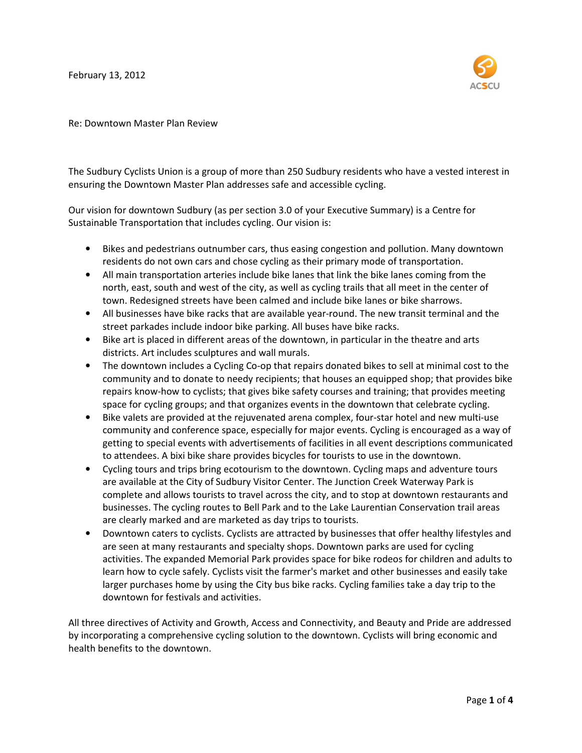February 13, 2012



Re: Downtown Master Plan Review

The Sudbury Cyclists Union is a group of more than 250 Sudbury residents who have a vested interest in ensuring the Downtown Master Plan addresses safe and accessible cycling.

Our vision for downtown Sudbury (as per section 3.0 of your Executive Summary) is a Centre for Sustainable Transportation that includes cycling. Our vision is:

- Bikes and pedestrians outnumber cars, thus easing congestion and pollution. Many downtown residents do not own cars and chose cycling as their primary mode of transportation.
- All main transportation arteries include bike lanes that link the bike lanes coming from the north, east, south and west of the city, as well as cycling trails that all meet in the center of town. Redesigned streets have been calmed and include bike lanes or bike sharrows.
- All businesses have bike racks that are available year-round. The new transit terminal and the street parkades include indoor bike parking. All buses have bike racks.
- Bike art is placed in different areas of the downtown, in particular in the theatre and arts districts. Art includes sculptures and wall murals.
- The downtown includes a Cycling Co-op that repairs donated bikes to sell at minimal cost to the community and to donate to needy recipients; that houses an equipped shop; that provides bike repairs know-how to cyclists; that gives bike safety courses and training; that provides meeting space for cycling groups; and that organizes events in the downtown that celebrate cycling.
- Bike valets are provided at the rejuvenated arena complex, four-star hotel and new multi-use community and conference space, especially for major events. Cycling is encouraged as a way of getting to special events with advertisements of facilities in all event descriptions communicated to attendees. A bixi bike share provides bicycles for tourists to use in the downtown.
- Cycling tours and trips bring ecotourism to the downtown. Cycling maps and adventure tours are available at the City of Sudbury Visitor Center. The Junction Creek Waterway Park is complete and allows tourists to travel across the city, and to stop at downtown restaurants and businesses. The cycling routes to Bell Park and to the Lake Laurentian Conservation trail areas are clearly marked and are marketed as day trips to tourists.
- Downtown caters to cyclists. Cyclists are attracted by businesses that offer healthy lifestyles and are seen at many restaurants and specialty shops. Downtown parks are used for cycling activities. The expanded Memorial Park provides space for bike rodeos for children and adults to learn how to cycle safely. Cyclists visit the farmer's market and other businesses and easily take larger purchases home by using the City bus bike racks. Cycling families take a day trip to the downtown for festivals and activities.

All three directives of Activity and Growth, Access and Connectivity, and Beauty and Pride are addressed by incorporating a comprehensive cycling solution to the downtown. Cyclists will bring economic and health benefits to the downtown.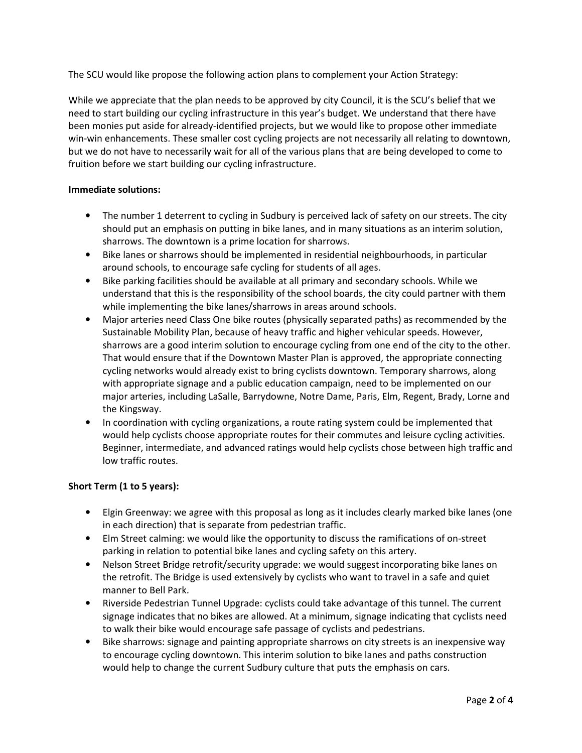The SCU would like propose the following action plans to complement your Action Strategy:

While we appreciate that the plan needs to be approved by city Council, it is the SCU's belief that we need to start building our cycling infrastructure in this year's budget. We understand that there have been monies put aside for already-identified projects, but we would like to propose other immediate win-win enhancements. These smaller cost cycling projects are not necessarily all relating to downtown, but we do not have to necessarily wait for all of the various plans that are being developed to come to fruition before we start building our cycling infrastructure.

# Immediate solutions:

- The number 1 deterrent to cycling in Sudbury is perceived lack of safety on our streets. The city should put an emphasis on putting in bike lanes, and in many situations as an interim solution, sharrows. The downtown is a prime location for sharrows.
- Bike lanes or sharrows should be implemented in residential neighbourhoods, in particular around schools, to encourage safe cycling for students of all ages.
- Bike parking facilities should be available at all primary and secondary schools. While we understand that this is the responsibility of the school boards, the city could partner with them while implementing the bike lanes/sharrows in areas around schools.
- Major arteries need Class One bike routes (physically separated paths) as recommended by the Sustainable Mobility Plan, because of heavy traffic and higher vehicular speeds. However, sharrows are a good interim solution to encourage cycling from one end of the city to the other. That would ensure that if the Downtown Master Plan is approved, the appropriate connecting cycling networks would already exist to bring cyclists downtown. Temporary sharrows, along with appropriate signage and a public education campaign, need to be implemented on our major arteries, including LaSalle, Barrydowne, Notre Dame, Paris, Elm, Regent, Brady, Lorne and the Kingsway.
- In coordination with cycling organizations, a route rating system could be implemented that would help cyclists choose appropriate routes for their commutes and leisure cycling activities. Beginner, intermediate, and advanced ratings would help cyclists chose between high traffic and low traffic routes.

# Short Term (1 to 5 years):

- Elgin Greenway: we agree with this proposal as long as it includes clearly marked bike lanes (one in each direction) that is separate from pedestrian traffic.
- Elm Street calming: we would like the opportunity to discuss the ramifications of on-street parking in relation to potential bike lanes and cycling safety on this artery.
- Nelson Street Bridge retrofit/security upgrade: we would suggest incorporating bike lanes on the retrofit. The Bridge is used extensively by cyclists who want to travel in a safe and quiet manner to Bell Park.
- Riverside Pedestrian Tunnel Upgrade: cyclists could take advantage of this tunnel. The current signage indicates that no bikes are allowed. At a minimum, signage indicating that cyclists need to walk their bike would encourage safe passage of cyclists and pedestrians.
- Bike sharrows: signage and painting appropriate sharrows on city streets is an inexpensive way to encourage cycling downtown. This interim solution to bike lanes and paths construction would help to change the current Sudbury culture that puts the emphasis on cars.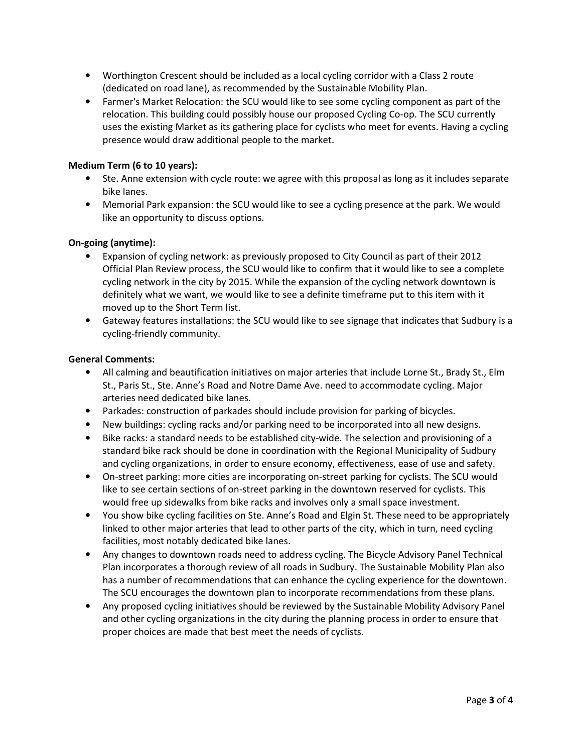- Worthington Crescent should be included as a local cycling corridor with a Class 2 route (dedicated on road lane), as recommended by the Sustainable Mobility Plan.
- Farmer's Market Relocation: the SCU would like to see some cycling component as part of the relocation. This building could possibly house our proposed Cycling Co-op. The SCU currently uses the existing Market as its gathering place for cyclists who meet for events. Having a cycling presence would draw additional people to the market.

# Medium Term (6 to 10 years):

- Ste. Anne extension with cycle route: we agree with this proposal as long as it includes separate bike lanes.
- Memorial Park expansion: the SCU would like to see a cycling presence at the park. We would like an opportunity to discuss options.

# On-going (anytime):

- Expansion of cycling network: as previously proposed to City Council as part of their 2012 Official Plan Review process, the SCU would like to confirm that it would like to see a complete cycling network in the city by 2015. While the expansion of the cycling network downtown is definitely what we want, we would like to see a definite timeframe put to this item with it moved up to the Short Term list.
- Gateway features installations: the SCU would like to see signage that indicates that Sudbury is a cycling-friendly community.

### General Comments:

- All calming and beautification initiatives on major arteries that include Lorne St., Brady St., Elm St., Paris St., Ste. Anne's Road and Notre Dame Ave. need to accommodate cycling. Major arteries need dedicated bike lanes.
- Parkades: construction of parkades should include provision for parking of bicycles.
- New buildings: cycling racks and/or parking need to be incorporated into all new designs.
- Bike racks: a standard needs to be established city-wide. The selection and provisioning of a standard bike rack should be done in coordination with the Regional Municipality of Sudbury and cycling organizations, in order to ensure economy, effectiveness, ease of use and safety.
- On-street parking: more cities are incorporating on-street parking for cyclists. The SCU would like to see certain sections of on-street parking in the downtown reserved for cyclists. This would free up sidewalks from bike racks and involves only a small space investment.
- You show bike cycling facilities on Ste. Anne's Road and Elgin St. These need to be appropriately linked to other major arteries that lead to other parts of the city, which in turn, need cycling facilities, most notably dedicated bike lanes.
- Any changes to downtown roads need to address cycling. The Bicycle Advisory Panel Technical Plan incorporates a thorough review of all roads in Sudbury. The Sustainable Mobility Plan also has a number of recommendations that can enhance the cycling experience for the downtown. The SCU encourages the downtown plan to incorporate recommendations from these plans.
- Any proposed cycling initiatives should be reviewed by the Sustainable Mobility Advisory Panel and other cycling organizations in the city during the planning process in order to ensure that proper choices are made that best meet the needs of cyclists.